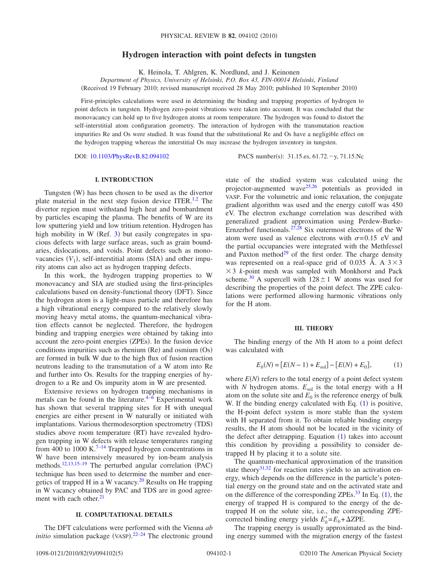# **Hydrogen interaction with point defects in tungsten**

K. Heinola, T. Ahlgren, K. Nordlund, and J. Keinonen

*Department of Physics, University of Helsinki, P.O. Box 43, FIN-00014 Helsinki, Finland* (Received 19 February 2010; revised manuscript received 28 May 2010; published 10 September 2010)

First-principles calculations were used in determining the binding and trapping properties of hydrogen to point defects in tungsten. Hydrogen zero-point vibrations were taken into account. It was concluded that the monovacancy can hold up to five hydrogen atoms at room temperature. The hydrogen was found to distort the self-interstitial atom configuration geometry. The interaction of hydrogen with the transmutation reaction impurities Re and Os were studied. It was found that the substitutional Re and Os have a negligible effect on the hydrogen trapping whereas the interstitial Os may increase the hydrogen inventory in tungsten.

DOI: [10.1103/PhysRevB.82.094102](http://dx.doi.org/10.1103/PhysRevB.82.094102)

PACS number(s): 31.15.es, 61.72. - y, 71.15.Nc

### **I. INTRODUCTION**

Tungsten (W) has been chosen to be used as the divertor plate material in the next step fusion device ITER.<sup>1,[2](#page-4-1)</sup> The divertor region must withstand high heat and bombardment by particles escaping the plasma. The benefits of W are its low sputtering yield and low tritium retention. Hydrogen has high mobility in W (Ref. [3](#page-4-2)) but easily congregates in spacious defects with large surface areas, such as grain boundaries, dislocations, and voids. Point defects such as monovacancies  $(V_1)$ , self-interstitial atoms (SIA) and other impurity atoms can also act as hydrogen trapping defects.

In this work, the hydrogen trapping properties to W monovacancy and SIA are studied using the first-principles calculations based on density-functional theory (DFT). Since the hydrogen atom is a light-mass particle and therefore has a high vibrational energy compared to the relatively slowly moving heavy metal atoms, the quantum-mechanical vibration effects cannot be neglected. Therefore, the hydrogen binding and trapping energies were obtained by taking into account the zero-point energies (ZPEs). In the fusion device conditions impurities such as rhenium (Re) and osmium (Os) are formed in bulk W due to the high flux of fusion reaction neutrons leading to the transmutation of a W atom into Re and further into Os. Results for the trapping energies of hydrogen to a Re and Os impurity atom in W are presented.

Extensive reviews on hydrogen trapping mechanisms in metals can be found in the literature. $4-\overline{6}$  $4-\overline{6}$  $4-\overline{6}$  Experimental work has shown that several trapping sites for H with unequal energies are either present in W naturally or initiated with implantations. Various thermodesorption spectrometry (TDS) studies above room temperature (RT) have revealed hydrogen trapping in W defects with release temperatures ranging from 400 to 1000 K.<sup>7[–14](#page-4-6)</sup> Trapped hydrogen concentrations in W have been intensively measured by ion-beam analysis methods.<sup>12,[13,](#page-4-8)[15–](#page-4-9)[19](#page-4-10)</sup> The perturbed angular correlation (PAC) technique has been used to determine the number and energetics of trapped H in a W vacancy.<sup>20</sup> Results on He trapping in W vacancy obtained by PAC and TDS are in good agreement with each other.<sup>21</sup>

## **II. COMPUTATIONAL DETAILS**

The DFT calculations were performed with the Vienna *ab initio* simulation package (VASP).<sup>[22–](#page-4-13)[24](#page-4-14)</sup> The electronic ground

state of the studied system was calculated using the projector-augmented wave<sup>25,[26](#page-4-16)</sup> potentials as provided in VASP. For the volumetric and ionic relaxation, the conjugate gradient algorithm was used and the energy cutoff was 450 eV. The electron exchange correlation was described with generalized gradient approximation using Perdew-Burke-Ernzerhof functionals.<sup>27,[28](#page-4-18)</sup> Six outermost electrons of the W atom were used as valence electrons with  $\sigma = 0.15$  eV and the partial occupancies were integrated with the Methfessel and Paxton method<sup>29</sup> of the first order. The charge density was represented on a real-space grid of 0.035 Å. A  $3 \times 3$  $\times$  3 *k*-point mesh was sampled with Monkhorst and Pack scheme.<sup>30</sup> A supercell with  $128 \pm 1$  W atoms was used for describing the properties of the point defect. The ZPE calculations were performed allowing harmonic vibrations only for the H atom.

#### **III. THEORY**

The binding energy of the *N*th H atom to a point defect was calculated with

$$
E_b(N) = [E(N-1) + E_{sol}] - [E(N) + E_0],\tag{1}
$$

<span id="page-0-0"></span>where  $E(N)$  refers to the total energy of a point defect system with  $N$  hydrogen atoms.  $E_{sol}$  is the total energy with a H atom on the solute site and  $E_0$  is the reference energy of bulk W. If the binding energy calculated with Eq.  $(1)$  $(1)$  $(1)$  is positive, the H-point defect system is more stable than the system with H separated from it. To obtain reliable binding energy results, the H atom should not be located in the vicinity of the defect after detrapping. Equation  $(1)$  $(1)$  $(1)$  takes into account this condition by providing a possibility to consider detrapped H by placing it to a solute site.

The quantum-mechanical approximation of the transition state theory<sup>31,[32](#page-4-22)</sup> for reaction rates yields to an activation energy, which depends on the difference in the particle's potential energy on the ground state and on the activated state and on the difference of the corresponding ZPEs. $33$  In Eq. ([1](#page-0-0)), the energy of trapped H is compared to the energy of the detrapped H on the solute site, i.e., the corresponding ZPEcorrected binding energy yields  $E'_b = E_b + \Delta ZPE$ .

The trapping energy is usually approximated as the binding energy summed with the migration energy of the fastest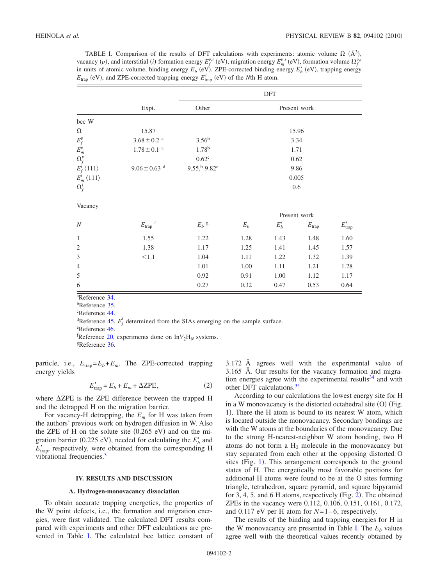<span id="page-1-0"></span>TABLE I. Comparison of the results of DFT calculations with experiments: atomic volume  $\Omega$  ( $\AA$ <sup>3</sup>), vacancy (*v*), and interstitial (*i*) formation energy  $E_f^{v,i}$  (eV), migration energy  $E_m^{v,i}$  (eV), formation volume  $\Omega_f^{v,i}$ in units of atomic volume, binding energy  $E_b$  (eV), ZPE-corrected binding energy  $E'_b$  (eV), trapping energy  $E_{\text{trap}}$  (eV), and ZPE-corrected trapping energy  $E'_{\text{trap}}$  (eV) of the *N*th H atom.

|                                         |                              | DFT                                 |              |              |            |             |  |
|-----------------------------------------|------------------------------|-------------------------------------|--------------|--------------|------------|-------------|--|
|                                         | Expt.                        | Other                               | Present work |              |            |             |  |
| bcc W                                   |                              |                                     |              |              |            |             |  |
| $\Omega$                                | 15.87                        |                                     | 15.96        |              |            |             |  |
| $E_f^v$                                 | $3.68\pm0.2$ $^{\rm a}$      | $3.56^{b}$                          | 3.34         |              |            |             |  |
| $\mathcal{E}^v_m$                       | $1.78\pm0.1$ $^{\rm a}$      | $1.78^{b}$                          | 1.71         |              |            |             |  |
| $\Omega_f^v$                            |                              | $0.62^{\circ}$                      | 0.62         |              |            |             |  |
| $E_f^{\tilde{i}}$ $\langle 111 \rangle$ | $9.06 \pm 0.63$ <sup>d</sup> | $9.55$ , $^{b}$ $9.82$ <sup>e</sup> | 9.86         |              |            |             |  |
| $E_m^i\langle 111\rangle$               |                              |                                     | 0.005        |              |            |             |  |
| $\Omega_f^i$                            |                              |                                     | 0.6          |              |            |             |  |
| Vacancy                                 |                              |                                     |              |              |            |             |  |
|                                         |                              |                                     |              | Present work |            |             |  |
| $\boldsymbol{N}$                        | $E_{\rm trap}$ f             | $E_b$ g                             | $E_b$        | $E'_b$       | $E_{trap}$ | $E'_{trap}$ |  |
| $\mathbf{1}$                            | 1.55                         | 1.22                                | 1.28         | 1.43         | 1.48       | 1.60        |  |
| $\mathfrak{2}$                          | 1.38                         | 1.17                                | 1.25         | 1.41         | 1.45       | 1.57        |  |
| $\mathfrak{Z}$                          | < 1.1                        | 1.04                                | 1.11         | 1.22         | 1.32       | 1.39        |  |
| $\overline{4}$                          |                              | 1.01                                | 1.00         | 1.11         | 1.21       | 1.28        |  |
| 5                                       |                              | 0.92                                | 0.91         | 1.00         | 1.12       | 1.17        |  |
| 6                                       |                              | 0.27                                | 0.32         | 0.47         | 0.53       | 0.64        |  |

a Reference [34.](#page-4-24)

<sup>b</sup>Reference [35.](#page-4-25) c Reference [44.](#page-4-26)

<sup>d</sup>Reference [45,](#page-4-27)  $E_f^i$  determined from the SIAs emerging on the sample surface.

e Reference [46.](#page-4-28)

 ${}^{f}$ Reference [20,](#page-4-11) experiments done on In $V_2H_N$  systems.<br><sup>g</sup>Reference [36.](#page-4-29)

particle, i.e.,  $E_{trap} = E_b + E_m$ . The ZPE-corrected trapping energy yields

$$
E'_{\text{trap}} = E_b + E_m + \Delta \text{ZPE},\tag{2}
$$

where  $\Delta ZPE$  is the ZPE difference between the trapped H and the detrapped H on the migration barrier.

For vacancy-H detrapping, the *Em* for H was taken from the authors' previous work on hydrogen diffusion in W. Also the ZPE of H on the solute site  $(0.265 \text{ eV})$  and on the migration barrier (0.225 eV), needed for calculating the  $E'_b$  and  $E'_{\text{trap}}$ , respectively, were obtained from the corresponding H vibrational frequencies.<sup>3</sup>

### **IV. RESULTS AND DISCUSSION**

#### **A. Hydrogen-monovacancy dissociation**

To obtain accurate trapping energetics, the properties of the W point defects, i.e., the formation and migration energies, were first validated. The calculated DFT results compared with experiments and other DFT calculations are pre-sented in Table [I.](#page-1-0) The calculated bcc lattice constant of 3.172 Å agrees well with the experimental value of 3.165 Å. Our results for the vacancy formation and migration energies agree with the experimental results $34$  and with other DFT calculations[.35](#page-4-25)

According to our calculations the lowest energy site for H in a W monovacancy is the distorted octahedral site (O) (Fig. [1](#page-2-0)). There the H atom is bound to its nearest W atom, which is located outside the monovacancy. Secondary bondings are with the W atoms at the boundaries of the monovacancy. Due to the strong H-nearest-neighbor W atom bonding, two H atoms do not form a  $H_2$  molecule in the monovacancy but stay separated from each other at the opposing distorted O sites (Fig. [1](#page-2-0)). This arrangement corresponds to the ground states of H. The energetically most favorable positions for additional H atoms were found to be at the O sites forming triangle, tetrahedron, square pyramid, and square bipyramid for 3, 4, 5, and 6 H atoms, respectively (Fig. [2](#page-2-1)). The obtained ZPEs in the vacancy were 0.112, 0.106, 0.151, 0.161, 0.172, and 0.117 eV per H atom for *N*=1–6, respectively.

The results of the binding and trapping energies for H in the W monovacancy are presented in Table [I.](#page-1-0) The  $E<sub>b</sub>$  values agree well with the theoretical values recently obtained by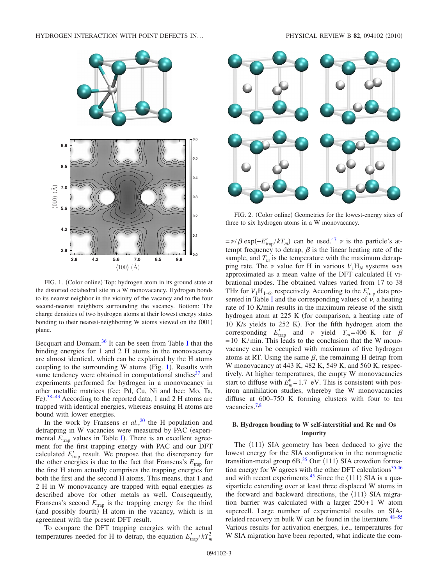<span id="page-2-0"></span>

FIG. 1. (Color online) Top: hydrogen atom in its ground state at the distorted octahedral site in a W monovacancy. Hydrogen bonds to its nearest neighbor in the vicinity of the vacancy and to the four second-nearest neighbors surrounding the vacancy. Bottom: The charge densities of two hydrogen atoms at their lowest energy states bonding to their nearest-neighboring W atoms viewed on the (001) plane.

Becquart and Domain[.36](#page-4-29) It can be seen from Table [I](#page-1-0) that the binding energies for 1 and 2 H atoms in the monovacancy are almost identical, which can be explained by the H atoms coupling to the surrounding W atoms (Fig.  $1$ ). Results with same tendency were obtained in computational studies $37$  and experiments performed for hydrogen in a monovacancy in other metallic matrices fcc: Pd, Cu, Ni and bcc: Mo, Ta, Fe).<sup>[38](#page-4-31)[–43](#page-4-32)</sup> According to the reported data, 1 and 2 H atoms are trapped with identical energies, whereas ensuing H atoms are bound with lower energies.

In the work by Fransens *et al.*, [20](#page-4-11) the H population and detrapping in W vacancies were measured by PAC (experimental  $E_{trap}$  values in Table [I](#page-1-0)). There is an excellent agreement for the first trapping energy with PAC and our DFT calculated  $E'_{\text{trap}}$  result. We propose that the discrepancy for the other energies is due to the fact that Fransens's  $E_{trap}$  for the first H atom actually comprises the trapping energies for both the first and the second H atoms. This means, that 1 and 2 H in W monovacancy are trapped with equal energies as described above for other metals as well. Consequently, Fransens's second  $E_{trap}$  is the trapping energy for the third (and possibly fourth) H atom in the vacancy, which is in agreement with the present DFT result.

To compare the DFT trapping energies with the actual temperatures needed for H to detrap, the equation  $E'_{trap}/kT_m^2$ 

<span id="page-2-1"></span>

FIG. 2. (Color online) Geometries for the lowest-energy sites of three to six hydrogen atoms in a W monovacancy.

 $= \nu/\beta \exp(-E_{trap}/kT_m)$  can be used.<sup>47</sup>  $\nu$  is the particle's attempt frequency to detrap,  $\beta$  is the linear heating rate of the sample, and  $T_m$  is the temperature with the maximum detrapping rate. The  $\nu$  value for H in various  $V_1H_N$  systems was approximated as a mean value of the DFT calculated H vibrational modes. The obtained values varied from 17 to 38 THz for  $V_1H_{1-6}$ , respectively. According to the  $E'_{trap}$  data pre-sented in Table [I](#page-1-0) and the corresponding values of  $\vec{v}$ , a heating rate of 10 K/min results in the maximum release of the sixth hydrogen atom at 225 K (for comparison, a heating rate of 10 K/s yields to 252 K). For the fifth hydrogen atom the corresponding  $E'_{trap}$  and  $\nu$  yield  $T_m$ =406 K for  $\beta$  $= 10$  K/min. This leads to the conclusion that the W monovacancy can be occupied with maximum of five hydrogen atoms at RT. Using the same  $\beta$ , the remaining H detrap from W monovacancy at 443 K, 482 K, 549 K, and 560 K, respectively. At higher temperatures, the empty W monovacancies start to diffuse with  $E_m^v = 1.7$  eV. This is consistent with positron annihilation studies, whereby the W monovacancies diffuse at 600–750 K forming clusters with four to ten vacancies[.7](#page-4-5)[,8](#page-4-34)

## **B. Hydrogen bonding to W self-interstitial and Re and Os impurity**

The  $\langle 111 \rangle$  SIA geometry has been deduced to give the lowest energy for the SIA configuration in the nonmagnetic transition-metal group  $6B<sup>35</sup>$  Our  $\langle 111 \rangle$  SIA crowdion forma-tion energy for W agrees with the other DFT calculations<sup>35[,46](#page-4-28)</sup> and with recent experiments.<sup>45</sup> Since the  $\langle 111 \rangle$  SIA is a quasiparticle extending over at least three displaced W atoms in the forward and backward directions, the  $\langle 111 \rangle$  SIA migration barrier was calculated with a larger  $250+1$  W atom supercell. Large number of experimental results on SIArelated recovery in bulk W can be found in the literature. $48-55$ Various results for activation energies, i.e., temperatures for W SIA migration have been reported, what indicate the com-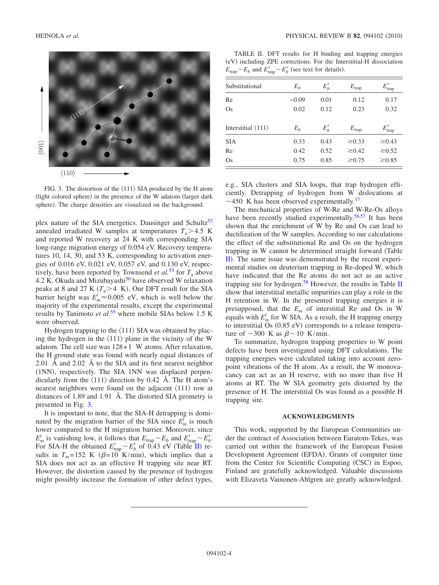<span id="page-3-0"></span>

FIG. 3. The distortion of the  $\langle 111 \rangle$  SIA produced by the H atom (light colored sphere) in the presence of the W adatom (larger dark sphere). The charge densities are visualized on the background.

plex nature of the SIA energetics. Dausinger and Schultz<sup>52</sup> annealed irradiated W samples at temperatures  $T_a$  > 4.5 K and reported W recovery at 24 K with corresponding SIA long-range migration energy of 0.054 eV. Recovery temperatures 10, 14, 30, and 53 K, corresponding to activation energies of 0.016 eV, 0.021 eV, 0.057 eV, and 0.130 eV, respectively, have been reported by Townsend *et al.*<sup>[53](#page-4-38)</sup> for  $T_a$  above 4.2 K. Okuda and Mizubayashi<sup>50</sup> have observed W relaxation peaks at 8 and 27 K  $(T_a > 4$  K). Our DFT result for the SIA barrier height was  $E_m^i \approx 0.005$  eV, which is well below the majority of the experimental results, except the experimental results by Tanimoto *et al.*<sup>[55](#page-4-36)</sup> where mobile SIAs below 1.5 K were observed.

Hydrogen trapping to the  $\langle 111 \rangle$  SIA was obtained by placing the hydrogen in the  $\langle 111 \rangle$  plane in the vicinity of the W adatom. The cell size was  $128+1$  W atoms. After relaxation, the H ground state was found with nearly equal distances of 2.01 Å and 2.02 Å to the SIA and its first nearest neighbor (1NN), respectively. The SIA 1NN was displaced perpendicularly from the  $\langle 111 \rangle$  direction by 0.42 Å. The H atom's nearest neighbors were found on the adjacent  $\langle 111 \rangle$  row at distances of 1.89 and 1.91 Å. The distorted SIA geometry is presented in Fig. [3.](#page-3-0)

It is important to note, that the SIA-H detrapping is dominated by the migration barrier of the SIA since  $E_m^i$  is much lower compared to the H migration barrier. Moreover, since  $E_m^i$  is vanishing low, it follows that  $E_{trap} \sim E_b$  and  $E'_{trap} \sim E'_b$ . For SIA-H the obtained  $E'_{trap} \sim E'_b$  of 0.43 eV (Table [II](#page-3-1)) results in  $T_m = 152$  K ( $\beta = 10$  K/min), which implies that a SIA does not act as an effective H trapping site near RT. However, the distortion caused by the presence of hydrogen might possibly increase the formation of other defect types,

<span id="page-3-1"></span>TABLE II. DFT results for H binding and trapping energies (eV) including ZPE corrections. For the Interstitial-H dissociation  $E_{\text{trap}} \sim E_b$  and  $E'_{\text{trap}} \sim E'_b$  (see text for details).

| Substitutional                     | $E_h$   | $E'_b$   | $E_{\text{trap}}$ | $E'_{\text{trap}}$ |
|------------------------------------|---------|----------|-------------------|--------------------|
| Re                                 | $-0.09$ | 0.01     | 0.12              | 0.17               |
| Os                                 | 0.02    | 0.12     | 0.23              | 0.32               |
| Interstitial $\langle 111 \rangle$ | $E_b$   | $E'_{b}$ | $E_{\text{trap}}$ | $E'_{trap}$        |
| <b>SIA</b>                         | 0.33    | 0.43     | $\geq 0.33$       | $\geq 0.43$        |
| Re                                 | 0.42    | 0.52     | $\geq 0.42$       | $\geq 0.52$        |
| Os                                 | 0.75    | 0.85     | $\gtrsim 0.75$    | $\gtrsim 0.85$     |

e.g., SIA clusters and SIA loops, that trap hydrogen efficiently. Detrapping of hydrogen from W dislocations at  $\sim$ 450 K has been observed experimentally.<sup>17</sup>

The mechanical properties of W-Re and W-Re-Os alloys have been recently studied experimentally.<sup>56,[57](#page-4-42)</sup> It has been shown that the enrichment of W by Re and Os can lead to ductilization of the W samples. According to our calculations the effect of the substitutional Re and Os on the hydrogen trapping in W cannot be determined straight forward Table [II](#page-3-1)). The same issue was demonstrated by the recent experimental studies on deuterium trapping in Re-doped W, which have indicated that the Re atoms do not act as an active trapping site for hydrogen.<sup>58</sup> However, the results in Table [II](#page-3-1) show that interstitial metallic impurities can play a role in the H retention in W. In the presented trapping energies it is presupposed, that the  $E_m$  of interstitial Re and Os in W equals with  $E_m^i$  for W SIA. As a result, the H trapping energy to interstitial Os (0.85 eV) corresponds to a release temperature of  $\sim$ 300 K as  $\beta \sim$ 10 K/min.

To summarize, hydrogen trapping properties to W point defects have been investigated using DFT calculations. The trapping energies were calculated taking into account zeropoint vibrations of the H atom. As a result, the W monovacancy can act as an H reserve, with no more than five H atoms at RT. The W SIA geometry gets distorted by the presence of H. The interstitial Os was found as a possible H trapping site.

#### **ACKNOWLEDGMENTS**

This work, supported by the European Communities under the contract of Association between Euratom-Tekes, was carried out within the framework of the European Fusion Development Agreement (EFDA). Grants of computer time from the Center for Scientific Computing (CSC) in Espoo, Finland are gratefully acknowledged. Valuable discussions with Elizaveta Vainonen-Ahlgren are greatly acknowledged.